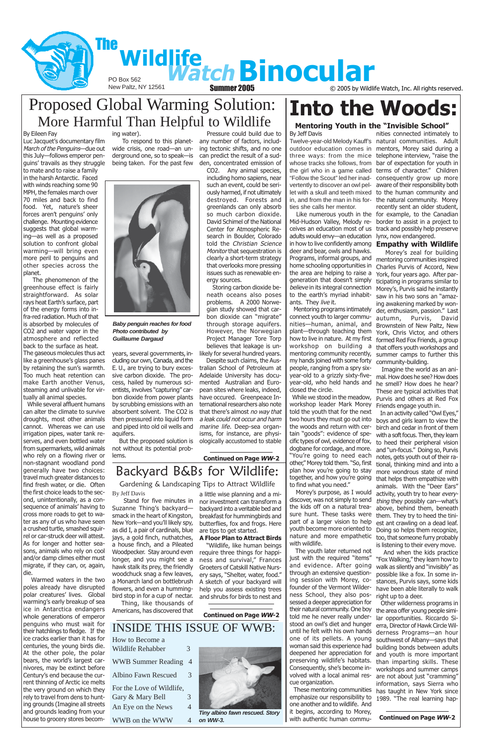PO Box 562



**Summer 2005**  $\odot$  2005 by Wildlife Watch, Inc. All rights reserved.



### **Continued on Page WW-2**

### By Jeff Davis

Mid-Hudson Valley, Melody receives an education most of us adults would envy—an education in how to live confidently among deer and bear, owls and hawks. Programs, informal groups, and home schooling opportunities in the area are helping to raise a generation that doesn't simply believe in its integral connection to the earth's myriad inhabitants. They live it.

ties she calls her mentor.

 Mentoring programs intimately connect youth to larger communities—human, animal, and plant—through teaching them how to live in nature. At my first workshop on building a mentoring community recently, my hands joined with some forty people, ranging from a spry sixyear-old to a grizzly sixty-fiveyear-old, who held hands and closed the circle.

 While we stood in the meadow, workshop leader Mark Morey told the youth that for the next two hours they must go out into the woods and return with certain "goods": evidence of specific types of owl, evidence of fox, dogbane for cordage, and more. "You're going to need each other," Morey told them. "So, first plan how you're going to stay together, and how you're going to find what you need."

### Twelve-year-old Melody Kauff's natural communities. Adult outdoor education comes in mentors, Morey said during a three ways: from the mice telephone interview, "raise the whose tracks she follows, from bar of expectation for youth in the girl who in a game called terms of character." Children "Follow the Scout" led her inad-consequently grow up more vertently to discover an owl pel-aware of their responsibility both let with a skull and teeth mixed to the human community and in, and from the man in his for-the natural community. Morey Like numerous youth in the for example, to the Canadian nities connected intimately to recently sent an older student, border to assist in a project to track and possibly help preserve lynx, now endangered.

 Morey's purpose, as I would discover, was not simply to send the kids off on a natural treasure hunt. These tasks were part of a larger vision to help youth become more oriented to nature and more empathetic with wildlife. The youth later returned not just with the required "items" and evidence. After going through an extensive questioning session with Morey, cofounder of the Vermont Wilderness School, they also possessed a deeper appreciation for their natural community. One boy told me he never really understood an owl's diet and hunger until he felt with his own hands one of its pellets. A young woman said this experience had deepened her appreciation for preserving wildlife's habitats. Consequently, she's become involved with a local animal rescue organization. These mentoring communities emphasize our responsibility to 1989. "The real learning hapone another and to wildlife. And it begins, according to Morey, with authentic human commu-

# **Into the Woods:**

### **Mentoring Youth in the "Invisible School"**

### **Empathy with Wildlife**

 Morey's zeal for building mentoring communities inspired Charles Purvis of Accord, New York, four years ago. After participating in programs similar to Morey's, Purvis said he instantly saw in his two sons an "amazing awakening marked by wonder, enthusiasm, passion." Last autumn, Purvis, David Brownstein of New Paltz, New York, Chris Victor, and others formed Red Fox Friends, a group that offers youth workshops and summer camps to further this community-building.

 Imagine the world as an animal. How does he see? How does he smell? How does he hear? These are typical activities that Purvis and others at Red Fox Friends engage youth in.

 In an activity called "Owl Eyes," boys and girls learn to view the birch and cedar in front of them with a soft focus. Then, they learn to heed their peripheral vision and "un-focus." Doing so, Purvis notes, gets youth out of their rational, thinking mind and into a more wondrous state of mind that helps them empathize with animals. With the "Deer Ears" activity, youth try to hear everything they possibly can—what's above, behind them, beneath them. They try to heed the tiniest ant crawling on a dead leaf. Doing so helps them recognize, too, that someone furry probably is listening to their every move. And when the kids practice "Fox Walking," they learn how to walk as silently and "invisibly" as possible like a fox. In some instances, Purvis says, some kids have been able literally to walk right up to a deer. Other wilderness programs in the area offer young people similar opportunities. Riccardo Sierra, Director of Hawk Circle Wilderness Programs—an hour southwest of Albany—says that building bonds between adults and youth is more important than imparting skills. These workshops and summer camps are not about just "cramming" information, says Sierra who has taught in New York since

**Continued on Page WW-2**

### Proposed Global Warming Solution: More Harmful Than Helpful to Wildlife

### By Eileen Fay

For the Love of Wildlife, Gary & Mary Bell 3 An Eye on the News 4

WWB on the WWW 4



Luc Jacquet's documentary film March of the Penguins-due out this July—follows emperor penguins' travails as they struggle to mate and to raise a family in the harsh Antarctic. Faced with winds reaching some 90 MPH, the females march over 70 miles and back to find food. Yet, nature's sheer forces aren't penguins' only challenge. Mounting evidence suggests that global warming—as well as a proposed solution to confront global warming—will bring even more peril to penguins and other species across the planet.

 The phenomenon of the greenhouse effect is fairly straightforward. As solar rays heat Earth's surface, part of the energy forms into infra-red radiation. Much of that is absorbed by molecules of CO2 and water vapor in the atmosphere and reflected back to the surface as heat.

The gaseous molecules thus act like a greenhouse's glass panes by retaining the sun's warmth. Too much heat retention can make Earth another Venus, steaming and unlivable for virtually all animal species.

 While several affluent humans can alter the climate to survive droughts, most other animals cannot. Whereas we can use irrigation pipes, water tank reserves, and even bottled water from supermarkets, wild animals who rely on a flowing river or non-stagnant woodland pond generally have two choices: travel much greater distances to find fresh water, or die. Often the first choice leads to the second, unintentionally, as a consequence of animals' having to cross more roads to get to water as any of us who have seen a crushed turtle, smashed squirrel or car-struck deer will attest. As for longer and hotter sea-

sons, animals who rely on cool and/or damp climes either must migrate, if they can, or, again, die.

 Warmed waters in the two poles already have disrupted polar creatures' lives. Global warming's early breakup of sea ice in Antarctica endangers whole generations of emperor penguins who must wait for their hatchlings to fledge. If the ice cracks earlier than it has for centuries, the young birds die. At the other pole, the polar bears, the world's largest carnivores, may be extinct before Century's end because the current thinning of Arctic ice melts the very ground on which they rely to travel from dens to hunting grounds (Imagine all streets and grounds leading from your house to grocery stores becom-

 Pressure could build due to any number of factors, including tectonic shifts, and no one can predict the result of a sudden, concentrated emission of

CO2. Any animal species, including homo sapiens, near such an event, could be seriously harmed, if not ultimately destroyed. Forests and greenlands can only absorb so much carbon dioxide. David Schimel of the National Center for Atmospheric Research in Boulder, Colorado told the Christian Science Monitor that sequestration is clearly a short-term strategy that overlooks more pressing issues such as renewable energy sources.

 Storing carbon dioxide beneath oceans also poses problems. A 2000 Norwegian study showed that carbon dioxide can "migrate" through storage aquifers. However, the Norwegian Project Manager Tore Torp believes that leakage is unlikely for several hundred years.

 Despite such claims, the Australian School of Petroleum at Adelaide University has documented Australian and European sites where leaks, indeed, have occured. Greenpeace International researchers also note that there's almost no way that a leak could not occur and harm marine life. Deep-sea organisms, for instance, are physiologically accustomed to stable

#### ing water).

 To respond to this planetwide crisis, one road—an underground one, so to speak—is being taken. For the past few

years, several governments, including our own, Canada, and the E. U., are trying to bury excessive carbon dioxide. The process, hailed by numerous scientists, involves "capturing" carbon dioxide from power plants by scrubbing emissions with an absorbent solvent. The CO2 is then pressured into liquid form and piped into old oil wells and aquifers.

 But the proposed solution is not without its potential problems.

 Stand for five minutes in Suzanne Thing's backyard smack in the heart of Kingston, New York—and you'll likely spy, as did I, a pair of cardinals, blue jays, a gold finch, nuthatches, a house finch, and a Pileated Woodpecker. Stay around even longer, and you might see a hawk stalk its prey, the friendly woodchuck snag a few leaves, a Monarch land on bottlebrush flowers, and even a hummingbird stop in for a cup of nectar.

 Thing, like thousands of Americans, has discovered that

By Jeff Davis Gardening & Landscaping Tips to Attract Wildlife

a little wise planning and a minor investment can transform a backyard into a veritable bed and breakfast for hummingbirds and butterflies, fox and frogs. Here are tips to get started.

**A Floor Plan to Attract Birds** "Wildlife, like human beings require three things for happiness and survival," Frances Groeters of Catskill Native Nursery says, "Shelter, water, food." A sketch of your backyard will help you assess existing trees and shrubs for birds to nest and

**Continued on Page WW-2**

# Backyard B&Bs for Wildlife:

### INSIDE THIS ISSUE OF WWB:

How to Become a Wildlife Rehabber 3

WWB Summer Reading 4

Albino Fawn Rescued 3

**Baby penguin reaches for food Photo contributed by Guillaume Dargaud**

> **Tiny albino fawn rescued. Story on WW-3.**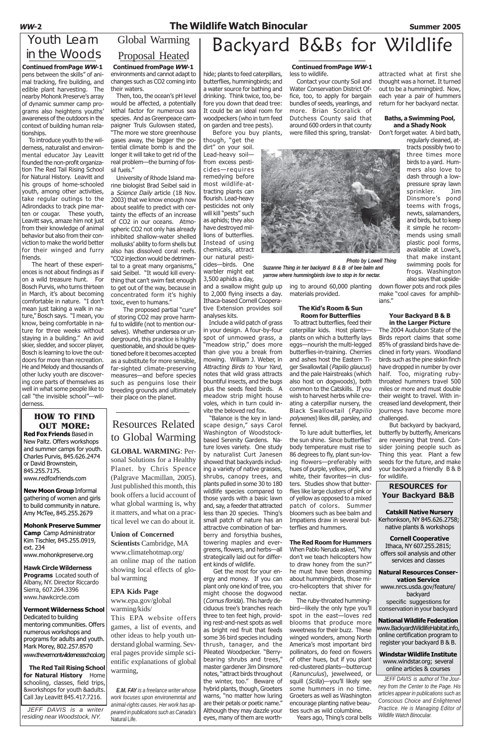### **WW-2 The Wildlife Watch Binocular Summer 2005**

 To introduce youth to the wilderness, naturalist and environmental educator Jay Leavitt founded the non-profit organization The Red Tail Rising School for Natural History. Leavitt and his groups of home-schooled youth, among other activities, take regular outings to the Adirondacks to track pine marten or cougar. These youth, Leavitt says, amaze him not just from their knowledge of animal behavior but also from their conviction to make the world better for their winged and furry friends.

pens between the skills" of animal tracking, fire building, and edible plant harvesting. The nearby Mohonk Preserve's array of dynamic summer camp programs also heightens youths' awareness of the outdoors in the context of building human relationships. **Continued fromPage WW-1**

**Vermont Wilderness School** Dedicated to building mentoring communities. Offers numerous workshops and programs for adults and youth. Mark Morey, 802.257.8570 www.thevermontwildernessschool.org

 The heart of these experiences is not about findings as if on a wild treasure hunt. For Bosch Purvis, who turns thirteen in March, it's about becoming comfortable in nature. "I don't mean just taking a walk in nature," Bosch says. "I mean, you know, being comfortable in nature for three weeks without staying in a building." An avid skier, sledder, and soccer player, Bosch is learning to love the outdoors for more than recreation. He and Melody and thousands of other lucky youth are discovering core parts of themselves as well in what some people like to call "the invisible school"—wilderness.

### Youth Learn in the Woods

### **HOW TO FIND OUT MORE:**

**Red Fox Friends** Based in New Paltz. Offers workshops and summer camps for youth. Charles Purvis, 845.626.2474 or David Brownstein, 845.255.7175. www.redfoxfriends.com

**New Moon Group** Informal gathering of women and girls to build community in nature. Amy McTee, 845.255.2679

**Mohonk Preserve Summer Camp** Camp Administrator Kim Tischler, 845.255.0919, ext. 234

www.mohonkpreserve.org

**Hawk Circle Wilderness Programs** Located south of Albany, NY. Director Riccardo Sierra, 607.264.3396 www.hawkcircle.com

**The Red Tail Rising School for Natural History** Home schooling, classes, field trips, &workshops for youth &adults. Call Jay Leavitt 845.417.7216.

### Global Warming Proposal Heated

JEFF DAVIS is a writer residing near Woodstock, NY.

*E.M. FAY is a freelance writer whose work focuses upon environemntal and animal-rights causes. Her work has appeared in publications such as Canada's* Natural Life.

# Backyard B&Bs for Wildlife

hide; plants to feed caterpillars, butterflies, hummingbirds; and a water source for bathing and drinking. Think twice, too, before you down that dead tree: It could be an ideal room for woodpeckers (who in turn feed on garden and tree pests).

Before you buy plants,

though, "get the dirt" on your soil. Lead-heavy soil from excess pesticides—requires remedying before most wildlife-attracting plants can flourish. Lead-heavy pesticides not only will kill "pests" such as aphids; they also have destroyed millions of butterflies. Instead of using chemicals, attract our natural pesticides—birds. One warbler might eat

3,500 aphids a day, and a swallow might gulp up to 2,000 flying insects a day. Ithaca-based Cornell Cooperative Extension provides soil analyses kits.

 Include a wild patch of grass in your design. A four-by-four spot of unmowed grass, a "meadow strip," does more than give you a break from mowing. William J. Weber, in Attracting Birds to Your Yard, notes that wild grass attracts bountiful insects, and the bugs plus the seeds feed birds. A meadow strip might house voles, which in turn could invite the beloved red fox.

### **Continued fromPage WW-1 Continued fromPage WW-1** less to wildlife.

 "Balance is the key in landscape design," says Carol Washington of Woodstockbased Serenity Gardens. Nature loves variety. One study by naturalist Curt Janesen showed that backyards including a variety of native grasses, shrubs, canopy trees, and plants pulled in some 30 to 180 wildlife species compared to those yards with a basic lawn and, say, a feeder that attracted less than 20 species. Thing's small patch of nature has an attractive combination of barberry and forsythia bushes, towering maples and ever-

greens, flowers, and herbs—all strategically laid out for different kinds of wildlife.

 Get the most for your energy and money. If you can plant only one kind of tree, you might choose the dogwood (Cornus florida). This hardy deciduous tree's branches reach three to ten feet high, providing rest-and-nest spots as well as bright red fruit that feeds some 36 bird species including thrush, tanager, and the Pileated Woodpecker. "Berrybearing shrubs and trees," master gardener Jim Dinsmore notes, "attract birds throughout the winter, too." Beware of hybrid plants, though, Groeters warns, "no matter how luring are their petals or poetic name." Although they may dazzle your eyes, many of them are worth-

 Contact your county Soil and Water Conservation District Office, too, to apply for bargain bundles of seeds, yearlings, and more. Brian Scoralick of Dutchess County said that around 600 orders in that county were filled this spring, translat-



ing to around 60,000 planting materials provided.

### **The Kid's Room & Sun Room for Butterflies**

To attract butterflies, feed their caterpillar kids. Host plants plants on which a butterfly lays eggs—nourish the multi-legged butterflies-in-training. Cherries and ashes host the Eastern Tiger Swallowtail (Papilio glaucus) and the pale Hairstreaks (which also host on dogwoods), both common to the Catskills. If you wish to harvest herbs while creating a caterpillar nursery, the Black Swallowtail (Papilio polyxenes) likes dill, parsley, and fennel.

 To lure adult butterflies, let the sun shine. Since butterflies' body temperature must rise to 86 degrees to fly, plant sun-loving flowers—preferably with hues of purple, yellow, pink, and white, their favorites—in clusters. Studies show that butterflies like large clusters of pink or of yellow as opposed to a mixed patch of colors. Summer bloomers such as bee balm and Impatiens draw in several butterflies and hummers.

### **The Red Room for Hummers**

When Pablo Neruda asked, "Why don't we teach helicopters how to draw honey from the sun?" he must have been dreaming about hummingbirds, those micro-helicopters that shiver for nectar.

 The ruby-throated hummingbird—likely the only type you'll spot in the east—loves red blooms that produce more sweetness for their buzz. These winged wonders, among North America's most important bird pollinators, do feed on flowers of other hues, but if you plant red-clustered plants—buttercup (Ranunculus), jewelweed, or squill (Scilla)-you'll likely see some hummers in no time. Groeters as well as Washington encourage planting native beauties such as wild columbine. Years ago, Thing's coral bells

attracted what at first she thought was a hornet. It turned out to be a hummingbird. Now, each year a pair of hummers return for her backyard nectar.

### **Baths, a Swimming Pool, and a Shady Nook**

Don't forget water. A bird bath,

regularly cleaned, attracts possibly two to three times more birds to a yard. Hummers also love to dash through a lowpressure spray lawn sprinkler. Jim Dinsmore's pond teems with frogs, newts, salamanders, and birds, but to keep it simple he recommends using small plastic pool forms, available at Lowe's, that make instant swimming pools for frogs. Washington also says that upside-

down flower pots and rock piles make "cool caves for amphibians."

### **Your Backyard B & B in the Larger Picture**

The 2004 Audubon State of the Birds report claims that some 85% of grassland birds have declined in forty years. Woodland birds such as the pine siskin finch have dropped in number by over half. Too, migrating rubythroated hummers travel 500 miles or more and must double their weight to travel. With increased land development, their journeys have become more challenged.

 But backyard by backyard, butterfly by butterfly, Americans are reversing that trend. Consider joining people such as Thing this year. Plant a few seeds for the future, and make your backyard a friendly B & B for wildlife.

### **RESOURCES for Your Backyard B&B**

 **Catskill Native Nursery** Kerhonkson, NY 845.626.2758; native plants & workshops

 **Cornell Cooperative** Ithaca, NY 607.255.2815; offers soil analysis and other services and classes

**Natural Resources Conservation Service** www.nrcs.usda.gov/feature/ backyard specific suggestions for

conservation in your backyard

**National Wildlife Federation** www.BackyardWildlifeHabitat.info, online certification program to register your backyard B & B.

**Windstar Wildlife Institute** www.windstar.org; several online articles & courses

*JEFF DAVIS is author of The Journey from the Center to the Page. His articles appear in publications such as Conscious Choice and Enlightened Practice. He is Managing Editor of Wildlife Watch Binocular.*

### Resources Related to Global Warming **GLOBAL WARMING**: Personal Solutions for a Healthy Planet. by Chris Spence (Palgrave Macmillan, 2005). Just published this month, this book offers a lucid account of what global warming is, why it matters, and what on a practical level we can do about it.

**Union of Concerned Scientists** Cambridge, MA

www.climatehotmap.org/ an online map of the nation showing local effects of global warming

**EPA Kids Page** www.epa.gov/global warming/kids/

This EPA website offers games, a list of events, and other ideas to help youth understand global warming. Several pages provide simple scientific explanations of global warming,

environments and cannot adapt to changes such as CO2 coming into their waters.

 Then, too, the ocean's pH level would be affected, a potentially lethal factor for numerous sea species. And as Greenpeace campaigner Truls Gulowsen stated, "The more we store greenhouse gases away, the bigger the potential climate bomb is and the longer it will take to get rid of the real problem—the burning of fossil fuels."

 University of Rhode Island marine biologist Brad Seibel said in a Science Daily article (18 Nov. 2003) that we know enough now about sealife to predict with certainty the effects of an increase of CO2 in our oceans. Atmospheric CO2 not only has already inhibited shallow-water shelled mollusks' ability to form shells but also has dissolved coral reefs. "CO2 injection would be detrimen-

tal to a great many organisms," said Seibel. "It would kill everything that can't swim fast enough to get out of the way, because in concentrated form it's highly toxic, even to humans."

 The proposed partial "cure" of storing CO2 may prove harmful to wildlife (not to mention ourselves). Whether undersea or underground, this practice is highly questionable, and should be questioned before it becomes accepted as a substitute for more sensible, far-sighted climate-preserving measures—and before species such as penguins lose their breeding grounds and ultimately their place on the planet.

*Photo by Lowell Thing Suzanne Thing in her backyard B & B of bee balm and yarrow where hummingbirds love to stop in for nectar.*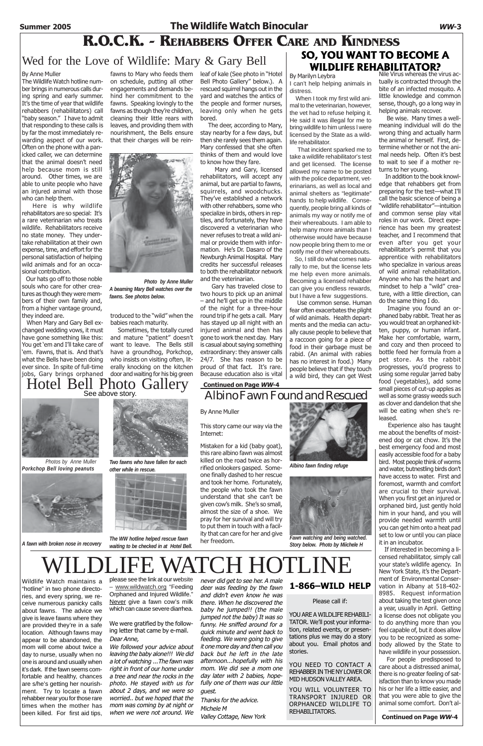### **Summer 2005 The Wildlife Watch Binocular WW-3**

### **R.O.C.K. - REHABBERS OFFER CARE AND KINDNESS**

### Wed for the Love of Wildlife: Mary & Gary Bell **WILDLIFE REHABILITATOR?**

See above story.



*Photos by Anne Muller Porkchop Bell loving peanuts*



#### By Anne Muller

The Wildlife Watch hotline number brings in numerous calls during spring and early summer. It's the time of year that wildlife rehabbers (rehabilitators) call "baby season." I have to admit that responding to these calls is by far the most immediately rewarding aspect of our work. Often on the phone with a panicked caller, we can determine that the animal doesn't need help because mom is still around. Other times, we are able to unite people who have an injured animal with those who can help them.

 Here is why wildlife rehabilitators are so special: It's a rare veterinarian who treats wildlife. Rehabilitators receive no state money. They undertake rehabilitation at their own expense, time, and effort for the personal satisfaction of helping wild animals and for an occasional contribution.

 Our hats go off to those noble souls who care for other creatures as though they were members of their own family and, from a higher vantage ground, they indeed are.

 When Mary and Gary Bell exchanged wedding vows, it must have gone something like this: You get 'em and I'll take care of 'em. Fawns, that is. And that's what the Bells have been doing ever since. In spite of full-time jobs, Gary brings orphaned

on schedule, putting all other engagements and demands behind her commitment to the fawns. Speaking lovingly to the fawns as though they're children, cleaning their little rears with leaves, and providing them with nourishment, the Bells ensure that their charges will be rein-



troduced to the "wild" when the babies reach maturity.

# **SO, YOU WANT TO BECOME A**

By Marilyn Leybra

I can't help helping animals in distress.

 When I took my first wild animal to the veterinarian, however, the vet had to refuse helping it. He said it was illegal for me to bring wildlife to him unless I were licensed by the State as a wildlife rehabilitator.

 That incident sparked me to take a wildlife rehabilitator's test and get licensed. The license allowed my name to be posted with the police department, veterinarians, as well as local and animal shelters as "legitimate" hands to help wildlife. Consequently, people bring all kinds of animals my way or notify me of their whereabouts. I am able to help many more animals than I otherwise would have because now people bring them to me or notify me of their whereabouts.

> If interested in becoming a licensed rehabilitator, simply call your state's wildlife agency. In New York State, it's the Department of Environmental Conservation in Albany at 518-402- 8985. Request information about taking the test given once a year, usually in April. Getting a license does not obligate you to do anything more than you feel capable of, but it does allow you to be recognized as somebody allowed by the State to have wildlife in your possession. For people predisposed to

 So, I still do what comes naturally to me, but the license lets me help even more animals. Becoming a licensed rehabber can give you endless rewards, but I have a few suggestions.

 Use common sense. Human fear often exacerbates the plight of wild animals. Health departments and the media can actually cause people to believe that a raccoon going for a piece of food in their garbage must be rabid. (An animal with rabies has no interest in food.) Many people believe that if they touch a wild bird, they can get West

Nile Virus whereas the virus actually is contracted through the bite of an infected mosquito. A little knowledge and common sense, though, go a long way in helping animals recover.

 Be wise. Many times a wellmeaning individual will do the wrong thing and actually harm the animal or herself. First, determine whether or not the animal needs help. Often it's best to wait to see if a mother returns to her young.

fawns to Mary who feeds them leaf of kale (See photo in "Hotel Bell Photo Gallery" below.). A rescued squirrel hangs out in the yard and watches the antics of the people and former nurses, leaving only when he gets bored.

> In addition to the book knowledge that rehabbers get from preparing for the test—what I'll call the basic science of being a "wildlife rehabilitator"—intuition and common sense play vital roles in our work. Direct experience has been my greatest teacher, and I recommend that even after you get your rehabilitator's permit that you apprentice with rehabilitators who specialize in various areas of wild animal rehabilitation. Anyone who has the heart and mindset to help a "wild" creature, with a little direction, can do the same thing I do.

 Sometimes, the totally cured and mature "patient" doesn't want to leave. The Bells still have a groundhog, Porkchop, who insists on visiting often, literally knocking on the kitchen door and waiting for his big green Hotel Bell Photo Gallery

 Imagine you found an orphaned baby rabbit. Treat her as you would treat an orphaned kitten, puppy, or human infant. Make her comfortable, warm, and cozy and then proceed to bottle feed her formula from a pet store. As the rabbit progresses, you'd progress to using some regular jarred baby food (vegetables), add some small pieces of cut-up apples as well as some grassy weeds such as clover and dandelion that she will be eating when she's released.

YOU NEED TO CONTACT A REHABBER IN THE NY LOWER OR MID HUDSON VALLEY AREA.

 Experience also has taught me about the benefits of moistened dog or cat chow. It's the best emergency food and most easily accessible food for a baby bird. Most people think of worms and water, butnestling birds don't have access to water. First and foremost, warmth and comfort are crucial to their survival. When you first get an injured or orphaned bird, just gently hold him in your hand, and you will provide needed warmth until you can get him onto a heat pad set to low or until you can place

*A fawn with broken nose in recovery station to be checked in at Hotel Bell* recovery *Story below. Photo by Miichele H The WW hotline helped rescue fawn waiting to be checked in at Hotel Bell.*

it in an incubator.

care about a distressed animal, there is no greater feeling of satisfaction than to know you made his or her life a little easier, and that you were able to give the animal some comfort. Don't al-

 The deer, according to Mary, stay nearby for a few days, but then she rarely sees them again. Mary confessed that she often thinks of them and would love to know how they fare.

 Mary and Gary, licensed rehabilitators, will accept any animal, but are partial to fawns, squirrels, and woodchucks. They've established a network with other rehabbers, some who specialize in birds, others in reptiles, and fortunately, they have discovered a veterinarian who never refuses to treat a wild animal or provide them with information. He's Dr. Dasaro of the Newburgh Animal Hospital. Mary credits her successful releases to both the rehabilitator network and the veterinarian.

 Gary has traveled close to two hours to pick up an animal – and he'll get up in the middle of the night for a three-hour round trip if he gets a call. Mary has stayed up all night with an injured animal and then has gone to work the next day. Mary is casual about saying something extraordinary: they answer calls 24/7. She has reason to be proud of that fact. It's rare. Because education also is vital

### By Anne Muller

### This story came our way via the Internet:

Mistaken for a kid (baby goat), this rare albino fawn was almost killed on the road twice as horrified onlookers gasped. Someone finally dashed to her rescue and took her home. Fortunately, the people who took the fawn understand that she can't be given cow's milk. She's so small, almost the size of a shoe. We pray for her survival and will try to put them in touch with a facility that can care for her and give

her freedom.

# DLIFE WATCH HOTLIN

Albino Fawn Found and Rescued **Continued on Page WW-4**

Wildlife Watch maintains a "hotline" in two phone directories, and every spring, we receive numerous panicky calls about fawns. The advice we give is leave fawns where they are provided they're in a safe location. Although fawns may appear to be abandoned, the mom will come about twice a day to nurse, usually when no one is around and usually when it's dark. If the fawn seems comfortable and healthy, chances are s/he's getting her nourishment. Try to locate a fawn rehabber near you for those rare times when the mother has been killed. For first aid tips,

please see the link at our website – www.wildwatch.org "Feeding Orphaned and Injured Wildlife." Never give a fawn cow's milk which can cause severe diarrhea.

We were gratified by the following letter that came by e-mail. Dear Anne,

We followed your advice about leaving the baby alone!!! We did a lot of watching ...The fawn was right in front of our home under a tree and near the rocks in the photo. He stayed with us for about 2 days, and we were so worried.. but we hoped that the mom was coming by at night or when we were not around. We

never did get to see her. A male deer was feeding by the fawn and didn't even know he was there. When he discovered the baby he jumped!! (the male jumped not the baby) It was so funny. He sniffed around for a quick minute and went back to feeding. We were going to give it one more day and then call you back but he left in the late afternoon...hopefully with his mom. We did see a mom one day later with 2 babies, hopefully one of them was our little guest.

Thanks for the advice. Michele M Valley Cottage, New York

### **1-866–WILD HELP**

#### Please call if:

YOU ARE A WILDLIFE REHABILI-TATOR. We'll post your information, related events, or presentations plus we may do a story about you. Email photos and stories.

YOU WILL VOLUNTEER TO TRANSPORT INJURED OR ORPHANCED WILDLIFE TO REHABILITATORS.

**Continued on Page WW-4**



*Albino fawn finding refuge*



*Fawn watching and being watched.*



*Two fawns who have fallen for each other while in rescue.*



*Photo by Anne Muller A beaming Mary Bell watches over the fawns. See photos below.*